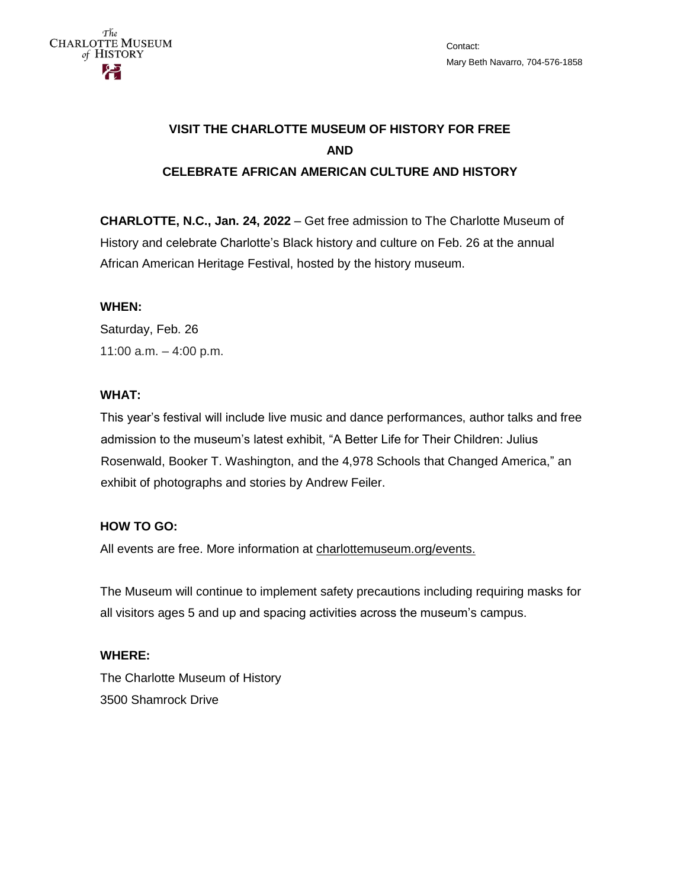

# **VISIT THE CHARLOTTE MUSEUM OF HISTORY FOR FREE AND CELEBRATE AFRICAN AMERICAN CULTURE AND HISTORY**

**CHARLOTTE, N.C., Jan. 24, 2022** – Get free admission to The Charlotte Museum of History and celebrate Charlotte's Black history and culture on Feb. 26 at the annual African American Heritage Festival, hosted by the history museum.

### **WHEN:**

Saturday, Feb. 26 11:00 a.m. – 4:00 p.m.

#### **WHAT:**

This year's festival will include live music and dance performances, author talks and free admission to the museum's latest exhibit, "A Better Life for Their Children: Julius Rosenwald, Booker T. Washington, and the 4,978 Schools that Changed America," an exhibit of photographs and stories by Andrew Feiler.

### **HOW TO GO:**

All events are free. More information at [charlottemuseum.org/events.](http://charlottemuseum.org/events)

The Museum will continue to implement safety precautions including requiring masks for all visitors ages 5 and up and spacing activities across the museum's campus.

# **WHERE:** The Charlotte Museum of History 3500 Shamrock Drive